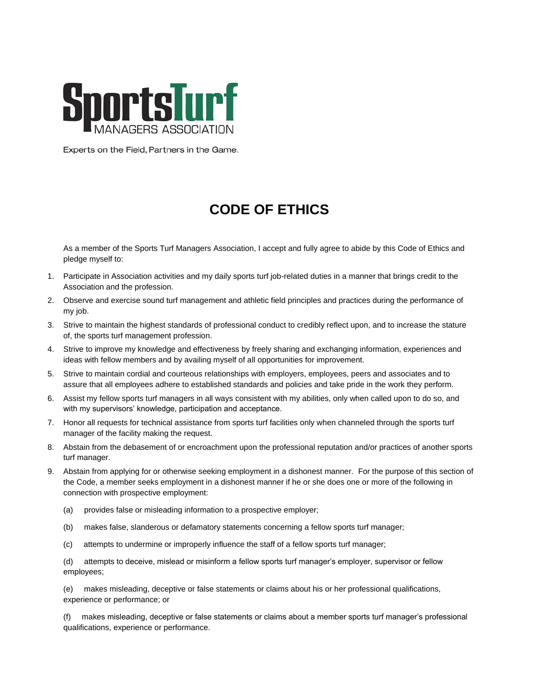

Experts on the Field, Partners in the Game.

## **CODE OF ETHICS**

As a member of the Sports Turf Managers Association, I accept and fully agree to abide by this Code of Ethics and pledge myself to:

- 1. Participate in Association activities and my daily sports turf job-related duties in a manner that brings credit to the Association and the profession.
- 2. Observe and exercise sound turf management and athletic field principles and practices during the performance of my job.
- 3. Strive to maintain the highest standards of professional conduct to credibly reflect upon, and to increase the stature of, the sports turf management profession.
- 4. Strive to improve my knowledge and effectiveness by freely sharing and exchanging information, experiences and ideas with fellow members and by availing myself of all opportunities for improvement.
- 5. Strive to maintain cordial and courteous relationships with employers, employees, peers and associates and to assure that all employees adhere to established standards and policies and take pride in the work they perform.
- 6. Assist my fellow sports turf managers in all ways consistent with my abilities, only when called upon to do so, and with my supervisors' knowledge, participation and acceptance.
- 7. Honor all requests for technical assistance from sports turf facilities only when channeled through the sports turf manager of the facility making the request.
- 8. Abstain from the debasement of or encroachment upon the professional reputation and/or practices of another sports turf manager.
- 9. Abstain from applying for or otherwise seeking employment in a dishonest manner. For the purpose of this section of the Code, a member seeks employment in a dishonest manner if he or she does one or more of the following in connection with prospective employment:
	- (a) provides false or misleading information to a prospective employer;
	- (b) makes false, slanderous or defamatory statements concerning a fellow sports turf manager;
	- (c) attempts to undermine or improperly influence the staff of a fellow sports turf manager;

(d) attempts to deceive, mislead or misinform a fellow sports turf manager's employer, supervisor or fellow employees;

(e) makes misleading, deceptive or false statements or claims about his or her professional qualifications, experience or performance; or

(f) makes misleading, deceptive or false statements or claims about a member sports turf manager's professional qualifications, experience or performance.